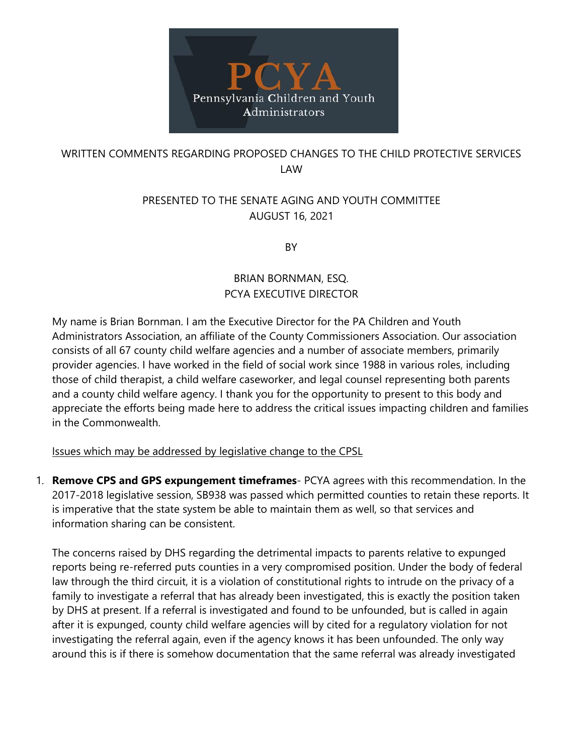

## WRITTEN COMMENTS REGARDING PROPOSED CHANGES TO THE CHILD PROTECTIVE SERVICES LAW

## PRESENTED TO THE SENATE AGING AND YOUTH COMMITTEE AUGUST 16, 2021

**BY** 

## BRIAN BORNMAN, ESQ. PCYA EXECUTIVE DIRECTOR

My name is Brian Bornman. I am the Executive Director for the PA Children and Youth Administrators Association, an affiliate of the County Commissioners Association. Our association consists of all 67 county child welfare agencies and a number of associate members, primarily provider agencies. I have worked in the field of social work since 1988 in various roles, including those of child therapist, a child welfare caseworker, and legal counsel representing both parents and a county child welfare agency. I thank you for the opportunity to present to this body and appreciate the efforts being made here to address the critical issues impacting children and families in the Commonwealth.

Issues which may be addressed by legislative change to the CPSL

1. **Remove CPS and GPS expungement timeframes**- PCYA agrees with this recommendation. In the 2017-2018 legislative session, SB938 was passed which permitted counties to retain these reports. It is imperative that the state system be able to maintain them as well, so that services and information sharing can be consistent.

The concerns raised by DHS regarding the detrimental impacts to parents relative to expunged reports being re-referred puts counties in a very compromised position. Under the body of federal law through the third circuit, it is a violation of constitutional rights to intrude on the privacy of a family to investigate a referral that has already been investigated, this is exactly the position taken by DHS at present. If a referral is investigated and found to be unfounded, but is called in again after it is expunged, county child welfare agencies will by cited for a regulatory violation for not investigating the referral again, even if the agency knows it has been unfounded. The only way around this is if there is somehow documentation that the same referral was already investigated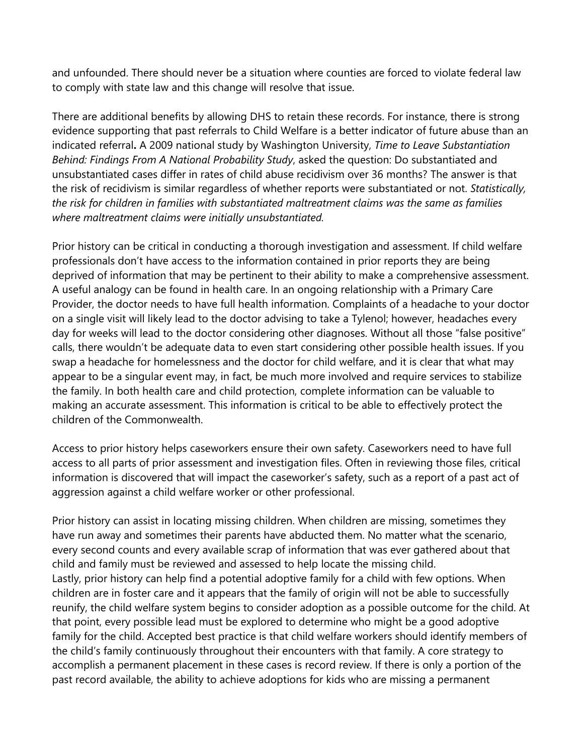and unfounded. There should never be a situation where counties are forced to violate federal law to comply with state law and this change will resolve that issue.

There are additional benefits by allowing DHS to retain these records. For instance, there is strong evidence supporting that past referrals to Child Welfare is a better indicator of future abuse than an indicated referral**.** A 2009 national study by Washington University, *Time to Leave Substantiation Behind: Findings From A National Probability Study*, asked the question: Do substantiated and unsubstantiated cases differ in rates of child abuse recidivism over 36 months? The answer is that the risk of recidivism is similar regardless of whether reports were substantiated or not. *Statistically, the risk for children in families with substantiated maltreatment claims was the same as families where maltreatment claims were initially unsubstantiated.*

Prior history can be critical in conducting a thorough investigation and assessment. If child welfare professionals don't have access to the information contained in prior reports they are being deprived of information that may be pertinent to their ability to make a comprehensive assessment. A useful analogy can be found in health care. In an ongoing relationship with a Primary Care Provider, the doctor needs to have full health information. Complaints of a headache to your doctor on a single visit will likely lead to the doctor advising to take a Tylenol; however, headaches every day for weeks will lead to the doctor considering other diagnoses. Without all those "false positive" calls, there wouldn't be adequate data to even start considering other possible health issues. If you swap a headache for homelessness and the doctor for child welfare, and it is clear that what may appear to be a singular event may, in fact, be much more involved and require services to stabilize the family. In both health care and child protection, complete information can be valuable to making an accurate assessment. This information is critical to be able to effectively protect the children of the Commonwealth.

Access to prior history helps caseworkers ensure their own safety. Caseworkers need to have full access to all parts of prior assessment and investigation files. Often in reviewing those files, critical information is discovered that will impact the caseworker's safety, such as a report of a past act of aggression against a child welfare worker or other professional.

Prior history can assist in locating missing children. When children are missing, sometimes they have run away and sometimes their parents have abducted them. No matter what the scenario, every second counts and every available scrap of information that was ever gathered about that child and family must be reviewed and assessed to help locate the missing child. Lastly, prior history can help find a potential adoptive family for a child with few options. When children are in foster care and it appears that the family of origin will not be able to successfully reunify, the child welfare system begins to consider adoption as a possible outcome for the child. At that point, every possible lead must be explored to determine who might be a good adoptive family for the child. Accepted best practice is that child welfare workers should identify members of the child's family continuously throughout their encounters with that family. A core strategy to accomplish a permanent placement in these cases is record review. If there is only a portion of the past record available, the ability to achieve adoptions for kids who are missing a permanent